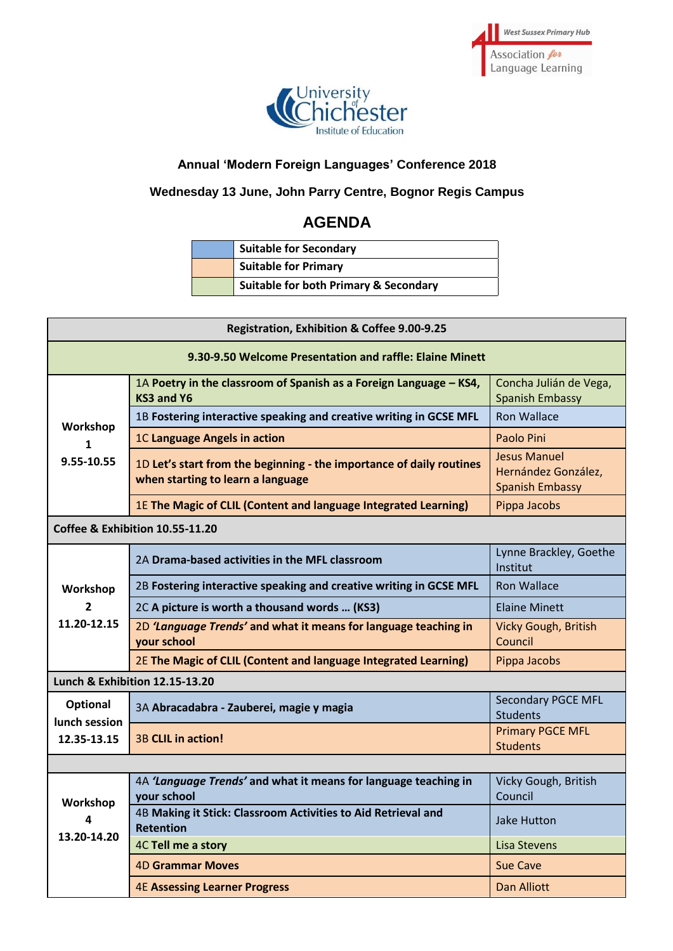



# **Annual 'Modern Foreign Languages' Conference 2018**

# **Wednesday 13 June, John Parry Centre, Bognor Regis Campus**

# **AGENDA**

| <b>Suitable for Secondary</b>                    |
|--------------------------------------------------|
| <b>Suitable for Primary</b>                      |
| <b>Suitable for both Primary &amp; Secondary</b> |

| Registration, Exhibition & Coffee 9.00-9.25              |                                                                                                           |                                                                      |  |  |
|----------------------------------------------------------|-----------------------------------------------------------------------------------------------------------|----------------------------------------------------------------------|--|--|
| 9.30-9.50 Welcome Presentation and raffle: Elaine Minett |                                                                                                           |                                                                      |  |  |
| Workshop<br>$\mathbf{1}$<br>9.55-10.55                   | 1A Poetry in the classroom of Spanish as a Foreign Language - KS4,<br>KS3 and Y6                          | Concha Julián de Vega,<br><b>Spanish Embassy</b>                     |  |  |
|                                                          | 1B Fostering interactive speaking and creative writing in GCSE MFL                                        | <b>Ron Wallace</b>                                                   |  |  |
|                                                          | 1C Language Angels in action                                                                              | Paolo Pini                                                           |  |  |
|                                                          | 1D Let's start from the beginning - the importance of daily routines<br>when starting to learn a language | <b>Jesus Manuel</b><br>Hernández González,<br><b>Spanish Embassy</b> |  |  |
|                                                          | 1E The Magic of CLIL (Content and language Integrated Learning)                                           | Pippa Jacobs                                                         |  |  |
| Coffee & Exhibition 10.55-11.20                          |                                                                                                           |                                                                      |  |  |
| Workshop<br>$\overline{2}$<br>11.20-12.15                | 2A Drama-based activities in the MFL classroom                                                            | Lynne Brackley, Goethe<br>Institut                                   |  |  |
|                                                          | 2B Fostering interactive speaking and creative writing in GCSE MFL                                        | <b>Ron Wallace</b>                                                   |  |  |
|                                                          | 2C A picture is worth a thousand words  (KS3)                                                             | <b>Elaine Minett</b>                                                 |  |  |
|                                                          | 2D 'Language Trends' and what it means for language teaching in<br>your school                            | Vicky Gough, British<br>Council                                      |  |  |
|                                                          | 2E The Magic of CLIL (Content and language Integrated Learning)                                           | Pippa Jacobs                                                         |  |  |
| <b>Lunch &amp; Exhibition 12.15-13.20</b>                |                                                                                                           |                                                                      |  |  |
| <b>Optional</b><br>lunch session<br>12.35-13.15          | 3A Abracadabra - Zauberei, magie y magia                                                                  | <b>Secondary PGCE MFL</b><br><b>Students</b>                         |  |  |
|                                                          | <b>3B CLIL in action!</b>                                                                                 | <b>Primary PGCE MFL</b><br><b>Students</b>                           |  |  |
|                                                          |                                                                                                           |                                                                      |  |  |
| Workshop<br>4<br>13.20-14.20                             | 4A 'Language Trends' and what it means for language teaching in<br>your school                            | Vicky Gough, British<br>Council                                      |  |  |
|                                                          | 4B Making it Stick: Classroom Activities to Aid Retrieval and<br><b>Retention</b>                         | Jake Hutton                                                          |  |  |
|                                                          | 4C Tell me a story                                                                                        | Lisa Stevens                                                         |  |  |
|                                                          | <b>4D Grammar Moves</b>                                                                                   | <b>Sue Cave</b>                                                      |  |  |
|                                                          | <b>4E Assessing Learner Progress</b>                                                                      | <b>Dan Alliott</b>                                                   |  |  |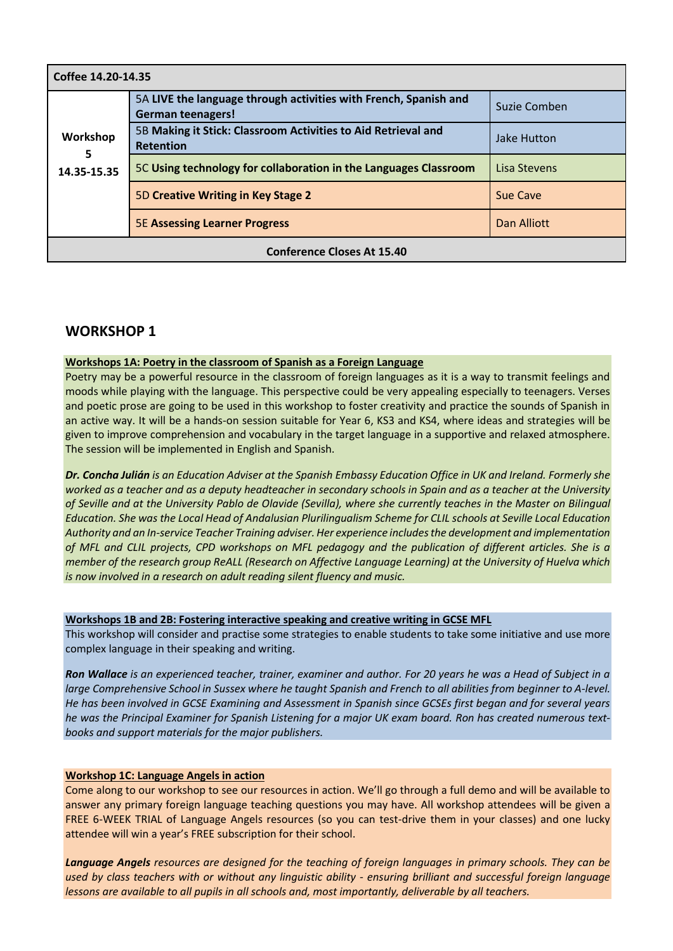| Coffee 14.20-14.35                |                                                                                              |              |  |  |
|-----------------------------------|----------------------------------------------------------------------------------------------|--------------|--|--|
| Workshop<br>5<br>14.35-15.35      | 5A LIVE the language through activities with French, Spanish and<br><b>German teenagers!</b> | Suzie Comben |  |  |
|                                   | 5B Making it Stick: Classroom Activities to Aid Retrieval and<br><b>Retention</b>            | Jake Hutton  |  |  |
|                                   | 5C Using technology for collaboration in the Languages Classroom                             | Lisa Stevens |  |  |
|                                   | 5D Creative Writing in Key Stage 2                                                           | Sue Cave     |  |  |
|                                   | <b>5E Assessing Learner Progress</b>                                                         | Dan Alliott  |  |  |
| <b>Conference Closes At 15.40</b> |                                                                                              |              |  |  |

# **WORKSHOP 1**

### **Workshops 1A: Poetry in the classroom of Spanish as a Foreign Language**

Poetry may be a powerful resource in the classroom of foreign languages as it is a way to transmit feelings and moods while playing with the language. This perspective could be very appealing especially to teenagers. Verses and poetic prose are going to be used in this workshop to foster creativity and practice the sounds of Spanish in an active way. It will be a hands-on session suitable for Year 6, KS3 and KS4, where ideas and strategies will be given to improve comprehension and vocabulary in the target language in a supportive and relaxed atmosphere. The session will be implemented in English and Spanish.

*Dr. Concha Julián is an Education Adviser at the Spanish Embassy Education Office in UK and Ireland. Formerly she worked as a teacher and as a deputy headteacher in secondary schools in Spain and as a teacher at the University of Seville and at the University Pablo de Olavide (Sevilla), where she currently teaches in the Master on Bilingual Education. She was the Local Head of Andalusian Plurilingualism Scheme for CLIL schools at Seville Local Education Authority and an In-service Teacher Training adviser. Her experience includes the development and implementation of MFL and CLIL projects, CPD workshops on MFL pedagogy and the publication of different articles. She is a member of the research group ReALL (Research on Affective Language Learning) at the University of Huelva which is now involved in a research on adult reading silent fluency and music.*

### **Workshops 1B and 2B: Fostering interactive speaking and creative writing in GCSE MFL**

This workshop will consider and practise some strategies to enable students to take some initiative and use more complex language in their speaking and writing.

*Ron Wallace is an experienced teacher, trainer, examiner and author. For 20 years he was a Head of Subject in a large Comprehensive School in Sussex where he taught Spanish and French to all abilities from beginner to A-level. He has been involved in GCSE Examining and Assessment in Spanish since GCSEs first began and for several years he was the Principal Examiner for Spanish Listening for a major UK exam board. Ron has created numerous textbooks and support materials for the major publishers.* 

### **Workshop 1C: Language Angels in action**

Come along to our workshop to see our resources in action. We'll go through a full demo and will be available to answer any primary foreign language teaching questions you may have. All workshop attendees will be given a FREE 6-WEEK TRIAL of Language Angels resources (so you can test-drive them in your classes) and one lucky attendee will win a year's FREE subscription for their school.

*Language Angels resources are designed for the teaching of foreign languages in primary schools. They can be used by class teachers with or without any linguistic ability - ensuring brilliant and successful foreign language lessons are available to all pupils in all schools and, most importantly, deliverable by all teachers.*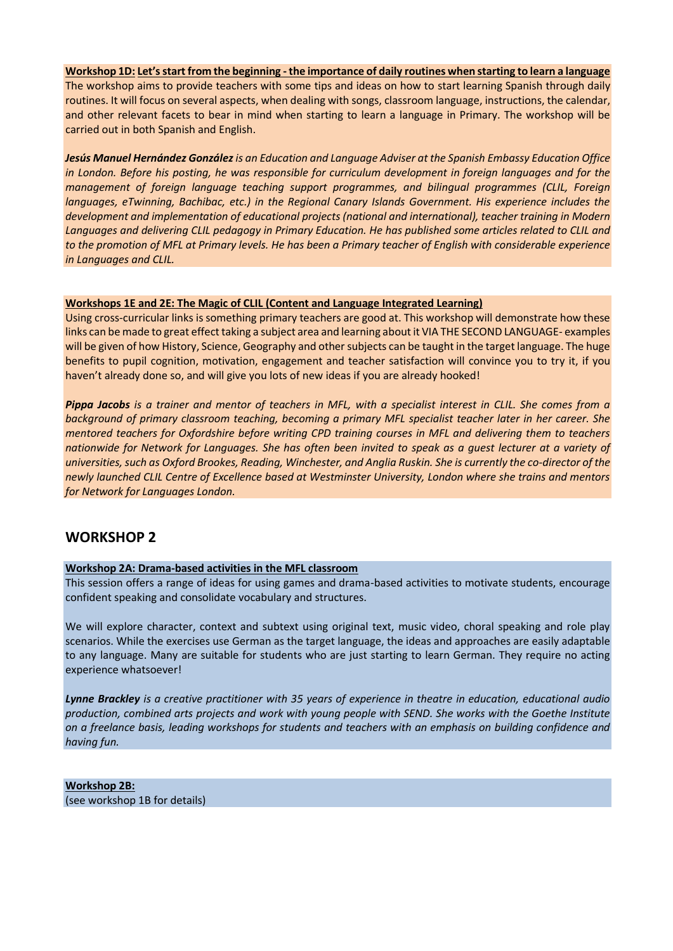**Workshop 1D: Let's start from the beginning -the importance of daily routines when starting to learn a language** The workshop aims to provide teachers with some tips and ideas on how to start learning Spanish through daily routines. It will focus on several aspects, when dealing with songs, classroom language, instructions, the calendar, and other relevant facets to bear in mind when starting to learn a language in Primary. The workshop will be carried out in both Spanish and English.

*Jesús Manuel Hernández Gonzálezis an Education and Language Adviser at the Spanish Embassy Education Office in London. Before his posting, he was responsible for curriculum development in foreign languages and for the management of foreign language teaching support programmes, and bilingual programmes (CLIL, Foreign languages, eTwinning, Bachibac, etc.) in the Regional Canary Islands Government. His experience includes the development and implementation of educational projects (national and international), teacher training in Modern*  Languages and delivering CLIL pedagogy in Primary Education. He has published some articles related to CLIL and *to the promotion of MFL at Primary levels. He has been a Primary teacher of English with considerable experience in Languages and CLIL.*

### **Workshops 1E and 2E: The Magic of CLIL (Content and Language Integrated Learning)**

Using cross-curricular links is something primary teachers are good at. This workshop will demonstrate how these links can be made to great effect taking a subject area and learning about it VIA THE SECOND LANGUAGE- examples will be given of how History, Science, Geography and other subjects can be taught in the target language. The huge benefits to pupil cognition, motivation, engagement and teacher satisfaction will convince you to try it, if you haven't already done so, and will give you lots of new ideas if you are already hooked!

*Pippa Jacobs is a trainer and mentor of teachers in MFL, with a specialist interest in CLIL. She comes from a background of primary classroom teaching, becoming a primary MFL specialist teacher later in her career. She mentored teachers for Oxfordshire before writing CPD training courses in MFL and delivering them to teachers nationwide for Network for Languages. She has often been invited to speak as a guest lecturer at a variety of universities, such as Oxford Brookes, Reading, Winchester, and Anglia Ruskin. She is currently the co-director of the newly launched CLIL Centre of Excellence based at Westminster University, London where she trains and mentors for Network for Languages London.*

# **WORKSHOP 2**

# **Workshop 2A: Drama-based activities in the MFL classroom**

This session offers a range of ideas for using games and drama-based activities to motivate students, encourage confident speaking and consolidate vocabulary and structures.

We will explore character, context and subtext using original text, music video, choral speaking and role play scenarios. While the exercises use German as the target language, the ideas and approaches are easily adaptable to any language. Many are suitable for students who are just starting to learn German. They require no acting experience whatsoever!

*Lynne Brackley is a creative practitioner with 35 years of experience in theatre in education, educational audio production, combined arts projects and work with young people with SEND. She works with the Goethe Institute on a freelance basis, leading workshops for students and teachers with an emphasis on building confidence and having fun.*

**Workshop 2B:** (see workshop 1B for details)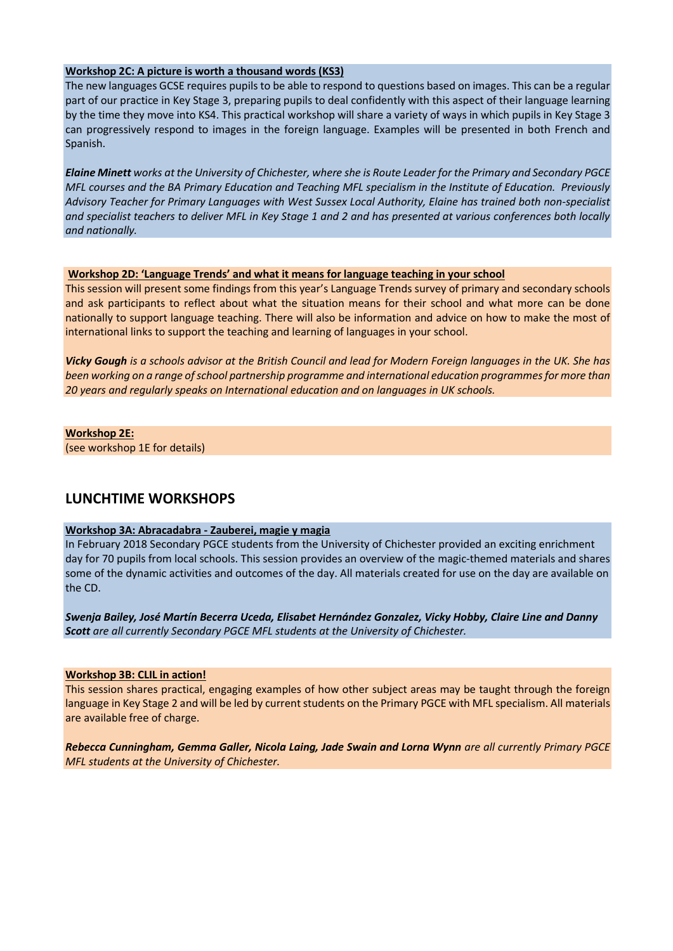### **Workshop 2C: A picture is worth a thousand words (KS3)**

The new languages GCSE requires pupils to be able to respond to questions based on images. This can be a regular part of our practice in Key Stage 3, preparing pupils to deal confidently with this aspect of their language learning by the time they move into KS4. This practical workshop will share a variety of ways in which pupils in Key Stage 3 can progressively respond to images in the foreign language. Examples will be presented in both French and Spanish.

*Elaine Minett works at the University of Chichester, where she is Route Leader for the Primary and Secondary PGCE MFL courses and the BA Primary Education and Teaching MFL specialism in the Institute of Education. Previously Advisory Teacher for Primary Languages with West Sussex Local Authority, Elaine has trained both non-specialist and specialist teachers to deliver MFL in Key Stage 1 and 2 and has presented at various conferences both locally and nationally.*

### **Workshop 2D: 'Language Trends' and what it means for language teaching in your school**

This session will present some findings from this year's Language Trends survey of primary and secondary schools and ask participants to reflect about what the situation means for their school and what more can be done nationally to support language teaching. There will also be information and advice on how to make the most of international links to support the teaching and learning of languages in your school.

*Vicky Gough is a schools advisor at the British Council and lead for Modern Foreign languages in the UK. She has been working on a range of school partnership programme and international education programmes for more than 20 years and regularly speaks on International education and on languages in UK schools.*

### **Workshop 2E:**

(see workshop 1E for details)

# **LUNCHTIME WORKSHOPS**

# **Workshop 3A: Abracadabra - Zauberei, magie y magia**

In February 2018 Secondary PGCE students from the University of Chichester provided an exciting enrichment day for 70 pupils from local schools. This session provides an overview of the magic-themed materials and shares some of the dynamic activities and outcomes of the day. All materials created for use on the day are available on the CD.

*Swenja Bailey, José Martín Becerra Uceda, Elisabet Hernández Gonzalez, Vicky Hobby, Claire Line and Danny Scott are all currently Secondary PGCE MFL students at the University of Chichester.*

### **Workshop 3B: CLIL in action!**

This session shares practical, engaging examples of how other subject areas may be taught through the foreign language in Key Stage 2 and will be led by current students on the Primary PGCE with MFL specialism. All materials are available free of charge.

*Rebecca Cunningham, Gemma Galler, Nicola Laing, Jade Swain and Lorna Wynn are all currently Primary PGCE MFL students at the University of Chichester.*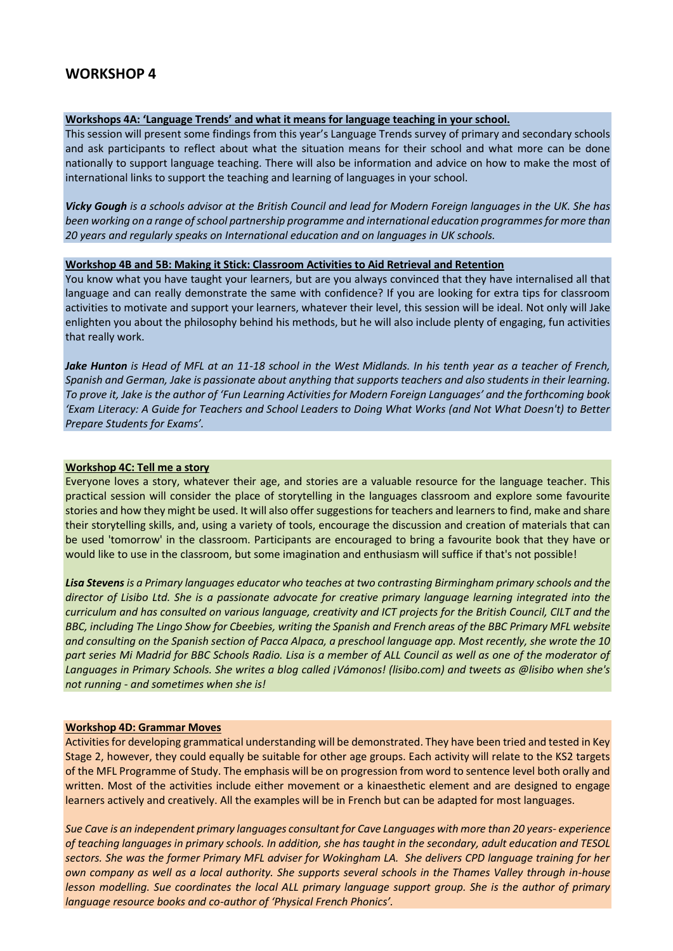# **WORKSHOP 4**

#### **Workshops 4A: 'Language Trends' and what it means for language teaching in your school.**

This session will present some findings from this year's Language Trends survey of primary and secondary schools and ask participants to reflect about what the situation means for their school and what more can be done nationally to support language teaching. There will also be information and advice on how to make the most of international links to support the teaching and learning of languages in your school.

*Vicky Gough is a schools advisor at the British Council and lead for Modern Foreign languages in the UK. She has been working on a range of school partnership programme and international education programmes for more than 20 years and regularly speaks on International education and on languages in UK schools.*

### **Workshop 4B and 5B: Making it Stick: Classroom Activities to Aid Retrieval and Retention**

You know what you have taught your learners, but are you always convinced that they have internalised all that language and can really demonstrate the same with confidence? If you are looking for extra tips for classroom activities to motivate and support your learners, whatever their level, this session will be ideal. Not only will Jake enlighten you about the philosophy behind his methods, but he will also include plenty of engaging, fun activities that really work.

*Jake Hunton is Head of MFL at an 11-18 school in the West Midlands. In his tenth year as a teacher of French, Spanish and German, Jake is passionate about anything that supports teachers and also students in their learning. To prove it, Jake is the author of 'Fun Learning Activities for Modern Foreign Languages' and the forthcoming book 'Exam Literacy: A Guide for Teachers and School Leaders to Doing What Works (and Not What Doesn't) to Better Prepare Students for Exams'.*

#### **Workshop 4C: Tell me a story**

Everyone loves a story, whatever their age, and stories are a valuable resource for the language teacher. This practical session will consider the place of storytelling in the languages classroom and explore some favourite stories and how they might be used. It will also offer suggestions for teachers and learners to find, make and share their storytelling skills, and, using a variety of tools, encourage the discussion and creation of materials that can be used 'tomorrow' in the classroom. Participants are encouraged to bring a favourite book that they have or would like to use in the classroom, but some imagination and enthusiasm will suffice if that's not possible!

*Lisa Stevens is a Primary languages educator who teaches at two contrasting Birmingham primary schools and the director of Lisibo Ltd. She is a passionate advocate for creative primary language learning integrated into the curriculum and has consulted on various language, creativity and ICT projects for the British Council, CILT and the BBC, including The Lingo Show for Cbeebies, writing the Spanish and French areas of the BBC Primary MFL website and consulting on the Spanish section of Pacca Alpaca, a preschool language app. Most recently, she wrote the 10*  part series Mi Madrid for BBC Schools Radio. Lisa is a member of ALL Council as well as one of the moderator of *Languages in Primary Schools. She writes a blog called ¡Vámonos! (lisibo.com) and tweets as @lisibo when she's not running - and sometimes when she is!*

#### **Workshop 4D: Grammar Moves**

Activities for developing grammatical understanding will be demonstrated. They have been tried and tested in Key Stage 2, however, they could equally be suitable for other age groups. Each activity will relate to the KS2 targets of the MFL Programme of Study. The emphasis will be on progression from word to sentence level both orally and written. Most of the activities include either movement or a kinaesthetic element and are designed to engage learners actively and creatively. All the examples will be in French but can be adapted for most languages.

*Sue Cave is an independent primary languages consultant for Cave Languages with more than 20 years- experience of teaching languages in primary schools. In addition, she has taught in the secondary, adult education and TESOL sectors. She was the former Primary MFL adviser for Wokingham LA. She delivers CPD language training for her own company as well as a local authority. She supports several schools in the Thames Valley through in-house lesson modelling. Sue coordinates the local ALL primary language support group. She is the author of primary language resource books and co-author of 'Physical French Phonics'.*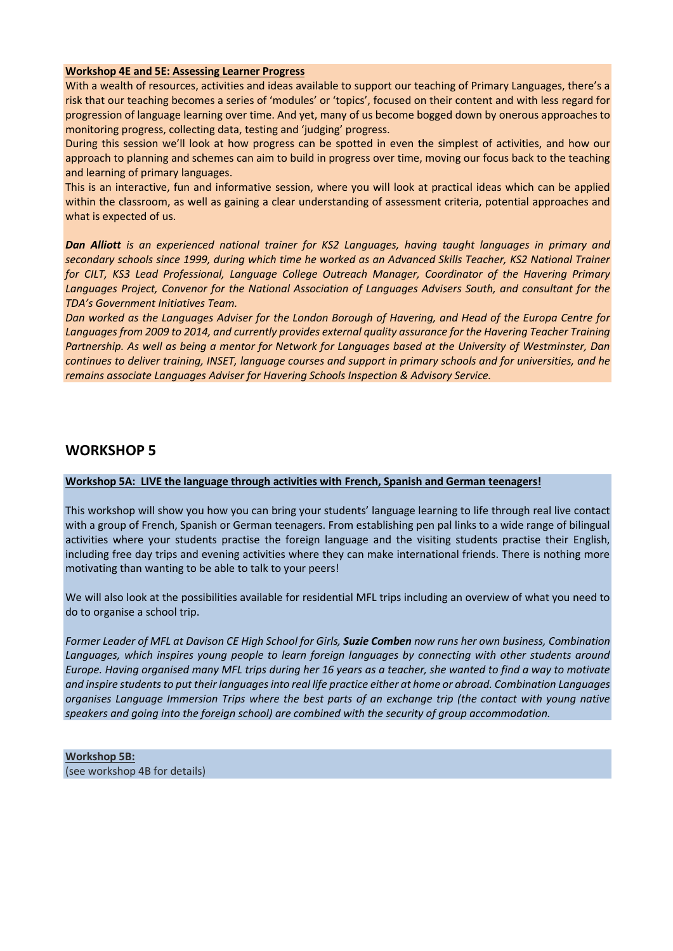### **Workshop 4E and 5E: Assessing Learner Progress**

With a wealth of resources, activities and ideas available to support our teaching of Primary Languages, there's a risk that our teaching becomes a series of 'modules' or 'topics', focused on their content and with less regard for progression of language learning over time. And yet, many of us become bogged down by onerous approaches to monitoring progress, collecting data, testing and 'judging' progress.

During this session we'll look at how progress can be spotted in even the simplest of activities, and how our approach to planning and schemes can aim to build in progress over time, moving our focus back to the teaching and learning of primary languages.

This is an interactive, fun and informative session, where you will look at practical ideas which can be applied within the classroom, as well as gaining a clear understanding of assessment criteria, potential approaches and what is expected of us.

*Dan Alliott is an experienced national trainer for KS2 Languages, having taught languages in primary and secondary schools since 1999, during which time he worked as an Advanced Skills Teacher, KS2 National Trainer for CILT, KS3 Lead Professional, Language College Outreach Manager, Coordinator of the Havering Primary Languages Project, Convenor for the National Association of Languages Advisers South, and consultant for the TDA's Government Initiatives Team.*

*Dan worked as the Languages Adviser for the London Borough of Havering, and Head of the Europa Centre for Languages from 2009 to 2014, and currently provides external quality assurance for the Havering Teacher Training Partnership. As well as being a mentor for Network for Languages based at the University of Westminster, Dan continues to deliver training, INSET, language courses and support in primary schools and for universities, and he remains associate Languages Adviser for Havering Schools Inspection & Advisory Service.*

# **WORKSHOP 5**

### **Workshop 5A: LIVE the language through activities with French, Spanish and German teenagers!**

This workshop will show you how you can bring your students' language learning to life through real live contact with a group of French, Spanish or German teenagers. From establishing pen pal links to a wide range of bilingual activities where your students practise the foreign language and the visiting students practise their English, including free day trips and evening activities where they can make international friends. There is nothing more motivating than wanting to be able to talk to your peers!

We will also look at the possibilities available for residential MFL trips including an overview of what you need to do to organise a school trip.

*Former Leader of MFL at Davison CE High School for Girls, Suzie Comben now runs her own business, Combination Languages, which inspires young people to learn foreign languages by connecting with other students around Europe. Having organised many MFL trips during her 16 years as a teacher, she wanted to find a way to motivate and inspire students to put their languages into real life practice either at home or abroad. Combination Languages organises Language Immersion Trips where the best parts of an exchange trip (the contact with young native speakers and going into the foreign school) are combined with the security of group accommodation.*

**Workshop 5B:**  (see workshop 4B for details)